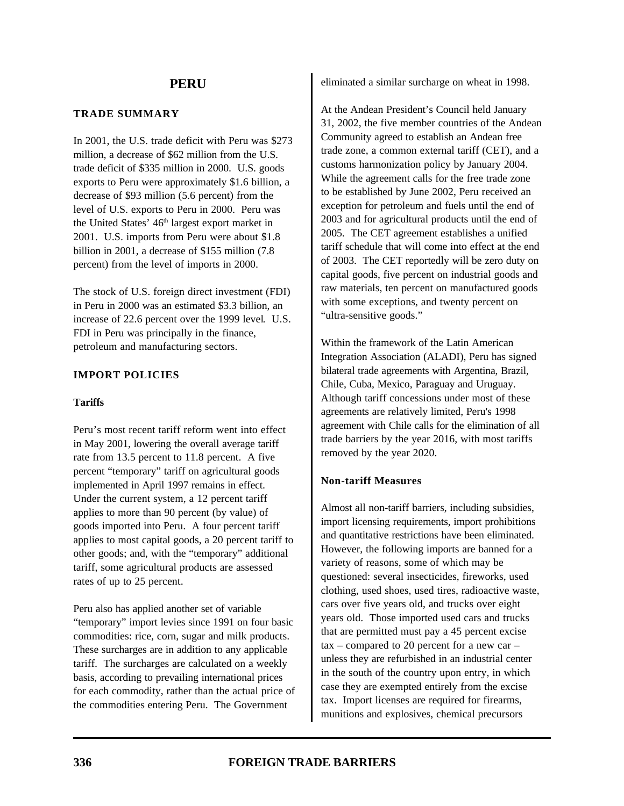#### **TRADE SUMMARY**

In 2001, the U.S. trade deficit with Peru was \$273 million, a decrease of \$62 million from the U.S. trade deficit of \$335 million in 2000. U.S. goods exports to Peru were approximately \$1.6 billion, a decrease of \$93 million (5.6 percent) from the level of U.S. exports to Peru in 2000. Peru was the United States'  $46<sup>th</sup>$  largest export market in 2001. U.S. imports from Peru were about \$1.8 billion in 2001, a decrease of \$155 million (7.8 percent) from the level of imports in 2000.

The stock of U.S. foreign direct investment (FDI) in Peru in 2000 was an estimated \$3.3 billion, an increase of 22.6 percent over the 1999 level. U.S. FDI in Peru was principally in the finance, petroleum and manufacturing sectors.

# **IMPORT POLICIES**

## **Tariffs**

Peru's most recent tariff reform went into effect in May 2001, lowering the overall average tariff rate from 13.5 percent to 11.8 percent. A five percent "temporary" tariff on agricultural goods implemented in April 1997 remains in effect. Under the current system, a 12 percent tariff applies to more than 90 percent (by value) of goods imported into Peru. A four percent tariff applies to most capital goods, a 20 percent tariff to other goods; and, with the "temporary" additional tariff, some agricultural products are assessed rates of up to 25 percent.

Peru also has applied another set of variable "temporary" import levies since 1991 on four basic commodities: rice, corn, sugar and milk products. These surcharges are in addition to any applicable tariff. The surcharges are calculated on a weekly basis, according to prevailing international prices for each commodity, rather than the actual price of the commodities entering Peru. The Government

eliminated a similar surcharge on wheat in 1998.

At the Andean President's Council held January 31, 2002, the five member countries of the Andean Community agreed to establish an Andean free trade zone, a common external tariff (CET), and a customs harmonization policy by January 2004. While the agreement calls for the free trade zone to be established by June 2002, Peru received an exception for petroleum and fuels until the end of 2003 and for agricultural products until the end of 2005. The CET agreement establishes a unified tariff schedule that will come into effect at the end of 2003. The CET reportedly will be zero duty on capital goods, five percent on industrial goods and raw materials, ten percent on manufactured goods with some exceptions, and twenty percent on "ultra-sensitive goods."

Within the framework of the Latin American Integration Association (ALADI), Peru has signed bilateral trade agreements with Argentina, Brazil, Chile, Cuba, Mexico, Paraguay and Uruguay. Although tariff concessions under most of these agreements are relatively limited, Peru's 1998 agreement with Chile calls for the elimination of all trade barriers by the year 2016, with most tariffs removed by the year 2020.

## **Non-tariff Measures**

Almost all non-tariff barriers, including subsidies, import licensing requirements, import prohibitions and quantitative restrictions have been eliminated. However, the following imports are banned for a variety of reasons, some of which may be questioned: several insecticides, fireworks, used clothing, used shoes, used tires, radioactive waste, cars over five years old, and trucks over eight years old. Those imported used cars and trucks that are permitted must pay a 45 percent excise  $tax$  – compared to 20 percent for a new car – unless they are refurbished in an industrial center in the south of the country upon entry, in which case they are exempted entirely from the excise tax. Import licenses are required for firearms, munitions and explosives, chemical precursors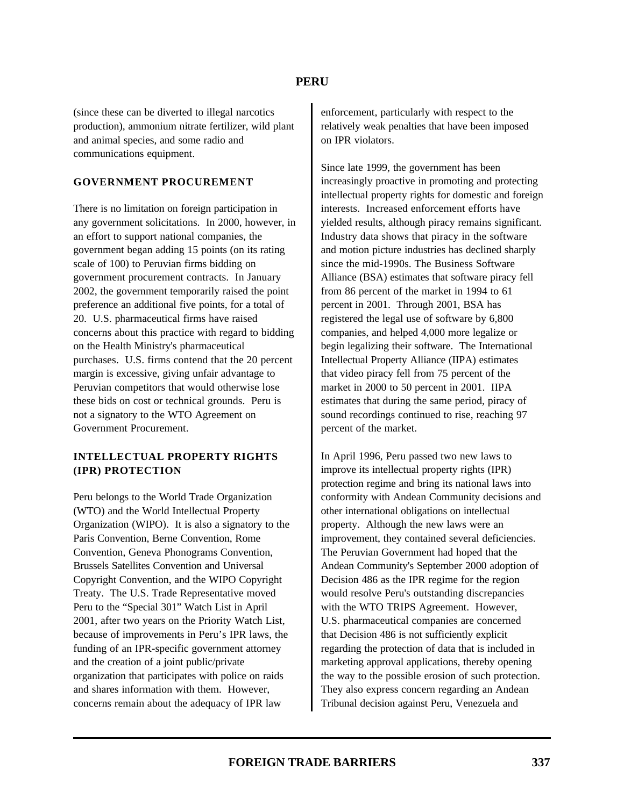(since these can be diverted to illegal narcotics production), ammonium nitrate fertilizer, wild plant and animal species, and some radio and communications equipment.

#### **GOVERNMENT PROCUREMENT**

There is no limitation on foreign participation in any government solicitations. In 2000, however, in an effort to support national companies, the government began adding 15 points (on its rating scale of 100) to Peruvian firms bidding on government procurement contracts. In January 2002, the government temporarily raised the point preference an additional five points, for a total of 20. U.S. pharmaceutical firms have raised concerns about this practice with regard to bidding on the Health Ministry's pharmaceutical purchases. U.S. firms contend that the 20 percent margin is excessive, giving unfair advantage to Peruvian competitors that would otherwise lose these bids on cost or technical grounds. Peru is not a signatory to the WTO Agreement on Government Procurement.

### **INTELLECTUAL PROPERTY RIGHTS (IPR) PROTECTION**

Peru belongs to the World Trade Organization (WTO) and the World Intellectual Property Organization (WIPO). It is also a signatory to the Paris Convention, Berne Convention, Rome Convention, Geneva Phonograms Convention, Brussels Satellites Convention and Universal Copyright Convention, and the WIPO Copyright Treaty. The U.S. Trade Representative moved Peru to the "Special 301" Watch List in April 2001, after two years on the Priority Watch List, because of improvements in Peru's IPR laws, the funding of an IPR-specific government attorney and the creation of a joint public/private organization that participates with police on raids and shares information with them. However, concerns remain about the adequacy of IPR law

enforcement, particularly with respect to the relatively weak penalties that have been imposed on IPR violators.

Since late 1999, the government has been increasingly proactive in promoting and protecting intellectual property rights for domestic and foreign interests. Increased enforcement efforts have yielded results, although piracy remains significant. Industry data shows that piracy in the software and motion picture industries has declined sharply since the mid-1990s. The Business Software Alliance (BSA) estimates that software piracy fell from 86 percent of the market in 1994 to 61 percent in 2001. Through 2001, BSA has registered the legal use of software by 6,800 companies, and helped 4,000 more legalize or begin legalizing their software. The International Intellectual Property Alliance (IIPA) estimates that video piracy fell from 75 percent of the market in 2000 to 50 percent in 2001. IIPA estimates that during the same period, piracy of sound recordings continued to rise, reaching 97 percent of the market.

In April 1996, Peru passed two new laws to improve its intellectual property rights (IPR) protection regime and bring its national laws into conformity with Andean Community decisions and other international obligations on intellectual property. Although the new laws were an improvement, they contained several deficiencies. The Peruvian Government had hoped that the Andean Community's September 2000 adoption of Decision 486 as the IPR regime for the region would resolve Peru's outstanding discrepancies with the WTO TRIPS Agreement. However, U.S. pharmaceutical companies are concerned that Decision 486 is not sufficiently explicit regarding the protection of data that is included in marketing approval applications, thereby opening the way to the possible erosion of such protection. They also express concern regarding an Andean Tribunal decision against Peru, Venezuela and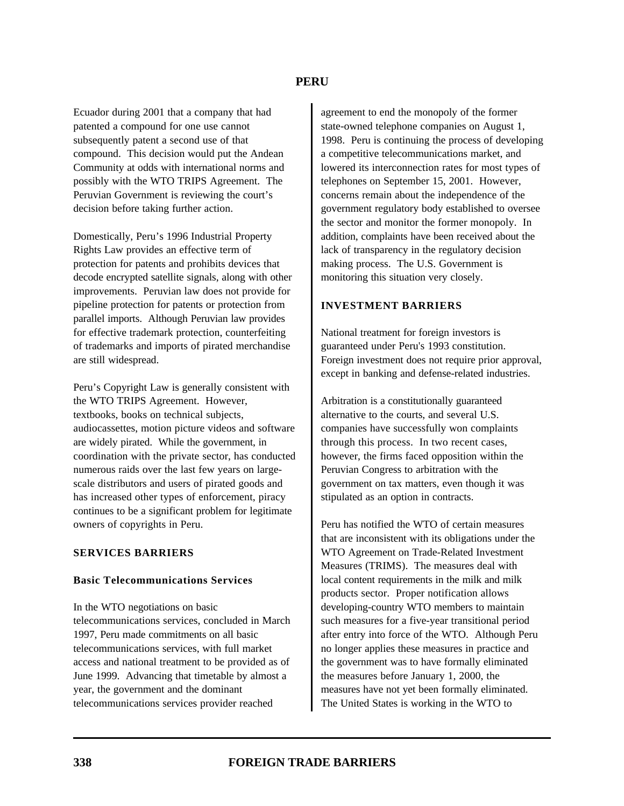Ecuador during 2001 that a company that had patented a compound for one use cannot subsequently patent a second use of that compound. This decision would put the Andean Community at odds with international norms and possibly with the WTO TRIPS Agreement. The Peruvian Government is reviewing the court's decision before taking further action.

Domestically, Peru's 1996 Industrial Property Rights Law provides an effective term of protection for patents and prohibits devices that decode encrypted satellite signals, along with other improvements. Peruvian law does not provide for pipeline protection for patents or protection from parallel imports. Although Peruvian law provides for effective trademark protection, counterfeiting of trademarks and imports of pirated merchandise are still widespread.

Peru's Copyright Law is generally consistent with the WTO TRIPS Agreement. However, textbooks, books on technical subjects, audiocassettes, motion picture videos and software are widely pirated. While the government, in coordination with the private sector, has conducted numerous raids over the last few years on largescale distributors and users of pirated goods and has increased other types of enforcement, piracy continues to be a significant problem for legitimate owners of copyrights in Peru.

#### **SERVICES BARRIERS**

#### **Basic Telecommunications Services**

In the WTO negotiations on basic telecommunications services, concluded in March 1997, Peru made commitments on all basic telecommunications services, with full market access and national treatment to be provided as of June 1999. Advancing that timetable by almost a year, the government and the dominant telecommunications services provider reached

agreement to end the monopoly of the former state-owned telephone companies on August 1, 1998. Peru is continuing the process of developing a competitive telecommunications market, and lowered its interconnection rates for most types of telephones on September 15, 2001. However, concerns remain about the independence of the government regulatory body established to oversee the sector and monitor the former monopoly. In addition, complaints have been received about the lack of transparency in the regulatory decision making process. The U.S. Government is monitoring this situation very closely.

#### **INVESTMENT BARRIERS**

National treatment for foreign investors is guaranteed under Peru's 1993 constitution. Foreign investment does not require prior approval, except in banking and defense-related industries.

Arbitration is a constitutionally guaranteed alternative to the courts, and several U.S. companies have successfully won complaints through this process. In two recent cases, however, the firms faced opposition within the Peruvian Congress to arbitration with the government on tax matters, even though it was stipulated as an option in contracts.

Peru has notified the WTO of certain measures that are inconsistent with its obligations under the WTO Agreement on Trade-Related Investment Measures (TRIMS). The measures deal with local content requirements in the milk and milk products sector. Proper notification allows developing-country WTO members to maintain such measures for a five-year transitional period after entry into force of the WTO. Although Peru no longer applies these measures in practice and the government was to have formally eliminated the measures before January 1, 2000, the measures have not yet been formally eliminated. The United States is working in the WTO to